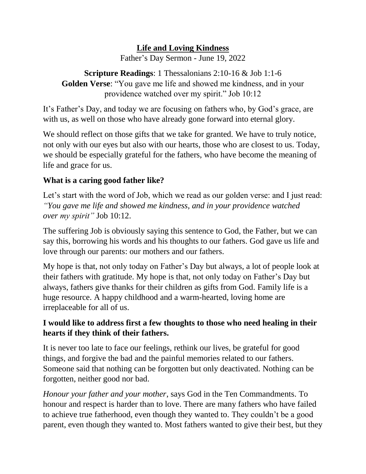## **Life and Loving Kindness**

Father's Day Sermon - June 19, 2022

**Scripture Readings**: 1 Thessalonians 2:10-16 & Job 1:1-6 **Golden Verse**: "You gave me life and showed me kindness, and in your providence watched over my spirit." Job 10:12

It's Father's Day, and today we are focusing on fathers who, by God's grace, are with us, as well on those who have already gone forward into eternal glory.

We should reflect on those gifts that we take for granted. We have to truly notice, not only with our eyes but also with our hearts, those who are closest to us. Today, we should be especially grateful for the fathers, who have become the meaning of life and grace for us.

## **What is a caring good father like?**

Let's start with the word of Job, which we read as our golden verse: and I just read: *"You gave me life and showed me kindness, and in your providence watched over my spirit"* Job 10:12.

The suffering Job is obviously saying this sentence to God, the Father, but we can say this, borrowing his words and his thoughts to our fathers. God gave us life and love through our parents: our mothers and our fathers.

My hope is that, not only today on Father's Day but always, a lot of people look at their fathers with gratitude. My hope is that, not only today on Father's Day but always, fathers give thanks for their children as gifts from God. Family life is a huge resource. A happy childhood and a warm-hearted, loving home are irreplaceable for all of us.

## **I would like to address first a few thoughts to those who need healing in their hearts if they think of their fathers.**

It is never too late to face our feelings, rethink our lives, be grateful for good things, and forgive the bad and the painful memories related to our fathers. Someone said that nothing can be forgotten but only deactivated. Nothing can be forgotten, neither good nor bad.

*Honour your father and your mother*, says God in the Ten Commandments. To honour and respect is harder than to love. There are many fathers who have failed to achieve true fatherhood, even though they wanted to. They couldn't be a good parent, even though they wanted to. Most fathers wanted to give their best, but they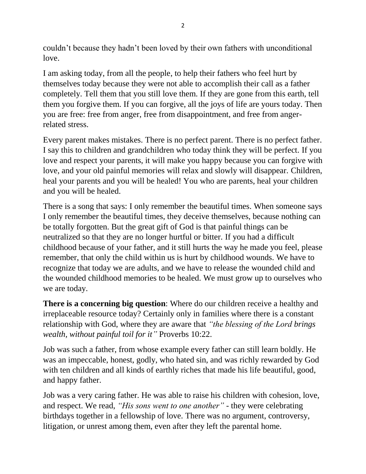couldn't because they hadn't been loved by their own fathers with unconditional love.

I am asking today, from all the people, to help their fathers who feel hurt by themselves today because they were not able to accomplish their call as a father completely. Tell them that you still love them. If they are gone from this earth, tell them you forgive them. If you can forgive, all the joys of life are yours today. Then you are free: free from anger, free from disappointment, and free from angerrelated stress.

Every parent makes mistakes. There is no perfect parent. There is no perfect father. I say this to children and grandchildren who today think they will be perfect. If you love and respect your parents, it will make you happy because you can forgive with love, and your old painful memories will relax and slowly will disappear. Children, heal your parents and you will be healed! You who are parents, heal your children and you will be healed.

There is a song that says: I only remember the beautiful times. When someone says I only remember the beautiful times, they deceive themselves, because nothing can be totally forgotten. But the great gift of God is that painful things can be neutralized so that they are no longer hurtful or bitter. If you had a difficult childhood because of your father, and it still hurts the way he made you feel, please remember, that only the child within us is hurt by childhood wounds. We have to recognize that today we are adults, and we have to release the wounded child and the wounded childhood memories to be healed. We must grow up to ourselves who we are today.

**There is a concerning big question**: Where do our children receive a healthy and irreplaceable resource today? Certainly only in families where there is a constant relationship with God, where they are aware that *"the blessing of the Lord brings wealth, without painful toil for it"* Proverbs 10:22.

Job was such a father, from whose example every father can still learn boldly. He was an impeccable, honest, godly, who hated sin, and was richly rewarded by God with ten children and all kinds of earthly riches that made his life beautiful, good, and happy father.

Job was a very caring father. He was able to raise his children with cohesion, love, and respect. We read, *"His sons went to one another"* - they were celebrating birthdays together in a fellowship of love. There was no argument, controversy, litigation, or unrest among them, even after they left the parental home.